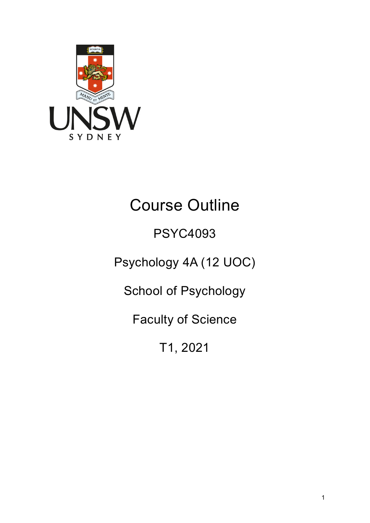

# Course Outline

# PSYC4093

# Psychology 4A (12 UOC)

School of Psychology

Faculty of Science

T1, 2021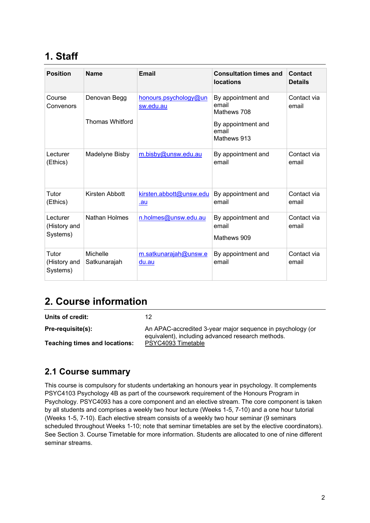# **1. Staff**

| <b>Position</b>                      | <b>Name</b>                            | <b>Email</b>                       | <b>Consultation times and</b><br><b>locations</b>                                        | Contact<br><b>Details</b> |
|--------------------------------------|----------------------------------------|------------------------------------|------------------------------------------------------------------------------------------|---------------------------|
| Course<br>Convenors                  | Denovan Begg<br><b>Thomas Whitford</b> | honours.psychology@un<br>sw.edu.au | By appointment and<br>email<br>Mathews 708<br>By appointment and<br>email<br>Mathews 913 | Contact via<br>email      |
| Lecturer<br>(Ethics)                 | Madelyne Bisby                         | m.bisby@unsw.edu.au                | By appointment and<br>email                                                              | Contact via<br>email      |
| Tutor<br>(Ethics)                    | Kirsten Abbott                         | kirsten.abbott@unsw.edu<br>.au     | By appointment and<br>email                                                              | Contact via<br>email      |
| Lecturer<br>(History and<br>Systems) | Nathan Holmes                          | n.holmes@unsw.edu.au               | By appointment and<br>email<br>Mathews 909                                               | Contact via<br>email      |
| Tutor<br>(History and<br>Systems)    | Michelle<br>Satkunarajah               | m.satkunarajah@unsw.e<br>du.au     | By appointment and<br>email                                                              | Contact via<br>email      |

### **2. Course information**

| Units of credit:                     | 12                                                                                                              |
|--------------------------------------|-----------------------------------------------------------------------------------------------------------------|
| Pre-requisite(s):                    | An APAC-accredited 3-year major sequence in psychology (or<br>equivalent), including advanced research methods. |
| <b>Teaching times and locations:</b> | PSYC4093 Timetable                                                                                              |

### **2.1 Course summary**

This course is compulsory for students undertaking an honours year in psychology. It complements PSYC4103 Psychology 4B as part of the coursework requirement of the Honours Program in Psychology. PSYC4093 has a core component and an elective stream. The core component is taken by all students and comprises a weekly two hour lecture (Weeks 1-5, 7-10) and a one hour tutorial (Weeks 1-5, 7-10). Each elective stream consists of a weekly two hour seminar (9 seminars scheduled throughout Weeks 1-10; note that seminar timetables are set by the elective coordinators). See Section 3. Course Timetable for more information. Students are allocated to one of nine different seminar streams.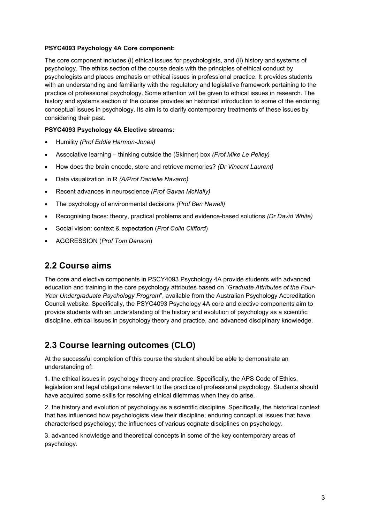#### **PSYC4093 Psychology 4A Core component:**

The core component includes (i) ethical issues for psychologists, and (ii) history and systems of psychology. The ethics section of the course deals with the principles of ethical conduct by psychologists and places emphasis on ethical issues in professional practice. It provides students with an understanding and familiarity with the regulatory and legislative framework pertaining to the practice of professional psychology. Some attention will be given to ethical issues in research. The history and systems section of the course provides an historical introduction to some of the enduring conceptual issues in psychology. Its aim is to clarify contemporary treatments of these issues by considering their past.

#### **PSYC4093 Psychology 4A Elective streams:**

- Humility *(Prof Eddie Harmon-Jones)*
- Associative learning thinking outside the (Skinner) box *(Prof Mike Le Pelley)*
- How does the brain encode, store and retrieve memories? *(Dr Vincent Laurent)*
- Data visualization in R *(A/Prof Danielle Navarro)*
- Recent advances in neuroscience *(Prof Gavan McNally)*
- The psychology of environmental decisions *(Prof Ben Newell)*
- Recognising faces: theory, practical problems and evidence-based solutions *(Dr David White)*
- Social vision: context & expectation (*Prof Colin Clifford*)
- AGGRESSION (*Prof Tom Denson*)

#### **2.2 Course aims**

The core and elective components in PSCY4093 Psychology 4A provide students with advanced education and training in the core psychology attributes based on "*Graduate Attributes of the Four-Year Undergraduate Psychology Program*", available from the Australian Psychology Accreditation Council website. Specifically, the PSYC4093 Psychology 4A core and elective components aim to provide students with an understanding of the history and evolution of psychology as a scientific discipline, ethical issues in psychology theory and practice, and advanced disciplinary knowledge.

#### **2.3 Course learning outcomes (CLO)**

At the successful completion of this course the student should be able to demonstrate an understanding of:

1. the ethical issues in psychology theory and practice. Specifically, the APS Code of Ethics, legislation and legal obligations relevant to the practice of professional psychology. Students should have acquired some skills for resolving ethical dilemmas when they do arise.

2. the history and evolution of psychology as a scientific discipline. Specifically, the historical context that has influenced how psychologists view their discipline; enduring conceptual issues that have characterised psychology; the influences of various cognate disciplines on psychology.

3. advanced knowledge and theoretical concepts in some of the key contemporary areas of psychology.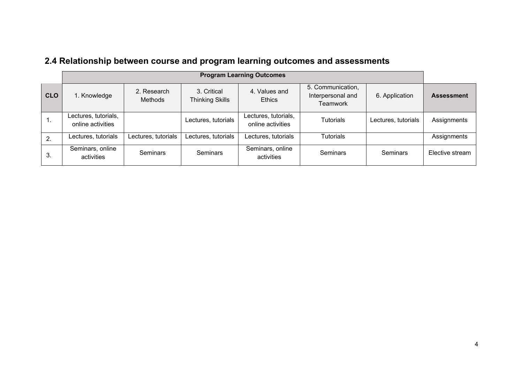|            | <b>Program Learning Outcomes</b>          |                        |                                |                                           |                                                    |                     |                   |
|------------|-------------------------------------------|------------------------|--------------------------------|-------------------------------------------|----------------------------------------------------|---------------------|-------------------|
| <b>CLO</b> | 1. Knowledge                              | 2. Research<br>Methods | 3. Critical<br>Thinking Skills | 4. Values and<br><b>Ethics</b>            | 5. Communication,<br>Interpersonal and<br>Teamwork | 6. Application      | <b>Assessment</b> |
| Ί.         | Lectures, tutorials,<br>online activities |                        | Lectures, tutorials            | Lectures, tutorials,<br>online activities | <b>Tutorials</b>                                   | Lectures, tutorials | Assignments       |
| 2.         | Lectures, tutorials                       | Lectures, tutorials    | Lectures, tutorials            | Lectures, tutorials                       | Tutorials                                          |                     | Assignments       |
| 3.         | Seminars, online<br>activities            | <b>Seminars</b>        | <b>Seminars</b>                | Seminars, online<br>activities            | <b>Seminars</b>                                    | <b>Seminars</b>     | Elective stream   |

## **2.4 Relationship between course and program learning outcomes and assessments**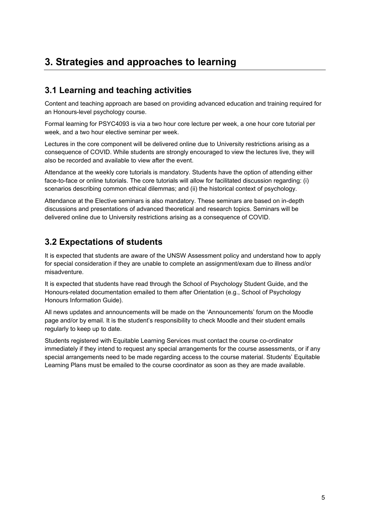## **3. Strategies and approaches to learning**

### **3.1 Learning and teaching activities**

Content and teaching approach are based on providing advanced education and training required for an Honours-level psychology course.

Formal learning for PSYC4093 is via a two hour core lecture per week, a one hour core tutorial per week, and a two hour elective seminar per week.

Lectures in the core component will be delivered online due to University restrictions arising as a consequence of COVID. While students are strongly encouraged to view the lectures live, they will also be recorded and available to view after the event.

Attendance at the weekly core tutorials is mandatory. Students have the option of attending either face-to-face or online tutorials. The core tutorials will allow for facilitated discussion regarding: (i) scenarios describing common ethical dilemmas; and (ii) the historical context of psychology.

Attendance at the Elective seminars is also mandatory. These seminars are based on in-depth discussions and presentations of advanced theoretical and research topics. Seminars will be delivered online due to University restrictions arising as a consequence of COVID.

### **3.2 Expectations of students**

It is expected that students are aware of the UNSW Assessment policy and understand how to apply for special consideration if they are unable to complete an assignment/exam due to illness and/or misadventure.

It is expected that students have read through the School of Psychology Student Guide, and the Honours-related documentation emailed to them after Orientation (e.g., School of Psychology Honours Information Guide).

All news updates and announcements will be made on the 'Announcements' forum on the Moodle page and/or by email. It is the student's responsibility to check Moodle and their student emails regularly to keep up to date.

Students registered with Equitable Learning Services must contact the course co-ordinator immediately if they intend to request any special arrangements for the course assessments, or if any special arrangements need to be made regarding access to the course material. Students' Equitable Learning Plans must be emailed to the course coordinator as soon as they are made available.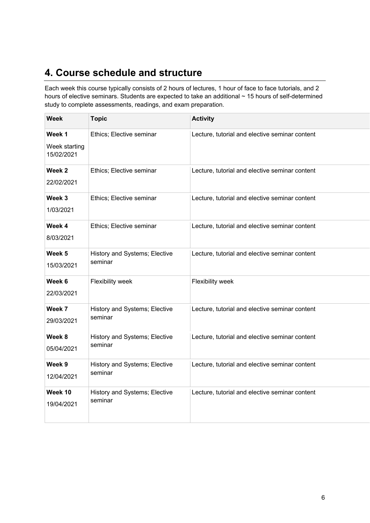# **4. Course schedule and structure**

Each week this course typically consists of 2 hours of lectures, 1 hour of face to face tutorials, and 2 hours of elective seminars. Students are expected to take an additional ~ 15 hours of self-determined study to complete assessments, readings, and exam preparation.

| <b>Week</b>                           | <b>Topic</b>                             | <b>Activity</b>                                |  |
|---------------------------------------|------------------------------------------|------------------------------------------------|--|
| Week 1<br>Week starting<br>15/02/2021 | Ethics; Elective seminar                 | Lecture, tutorial and elective seminar content |  |
| Week <sub>2</sub><br>22/02/2021       | Ethics; Elective seminar                 | Lecture, tutorial and elective seminar content |  |
| Week 3<br>1/03/2021                   | Ethics; Elective seminar                 | Lecture, tutorial and elective seminar content |  |
| Week 4<br>8/03/2021                   | Ethics; Elective seminar                 | Lecture, tutorial and elective seminar content |  |
| Week 5<br>15/03/2021                  | History and Systems; Elective<br>seminar | Lecture, tutorial and elective seminar content |  |
| Week 6<br>22/03/2021                  | Flexibility week                         | Flexibility week                               |  |
| Week 7<br>29/03/2021                  | History and Systems; Elective<br>seminar | Lecture, tutorial and elective seminar content |  |
| Week 8<br>05/04/2021                  | History and Systems; Elective<br>seminar | Lecture, tutorial and elective seminar content |  |
| Week 9<br>12/04/2021                  | History and Systems; Elective<br>seminar | Lecture, tutorial and elective seminar content |  |
| Week 10<br>19/04/2021                 | History and Systems; Elective<br>seminar | Lecture, tutorial and elective seminar content |  |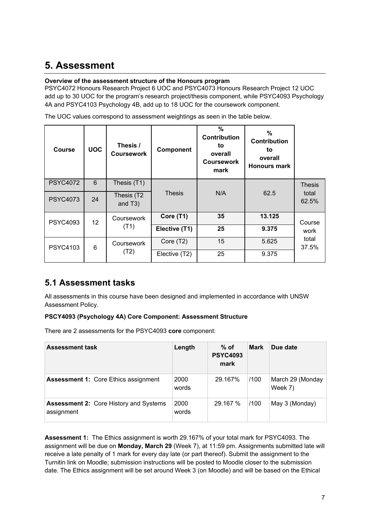## **5. Assessment**

#### **Overview of the assessment structure of the Honours program**

PSYC4072 Honours Research Project 6 UOC and PSYC4073 Honours Research Project 12 UOC add up to 30 UOC for the program's research project/thesis component, while PSYC4093 Psychology 4A and PSYC4103 Psychology 4B, add up to 18 UOC for the coursework component.

The UOC values correspond to assessment weightings as seen in the table below.

| <b>Course</b>   | <b>UOC</b>      | Thesis /<br><b>Coursework</b>      | Component     | $\%$<br><b>Contribution</b><br>to<br>overall<br><b>Coursework</b><br>mark | %<br>Contribution<br>to<br>overall<br><b>Honours mark</b> |                |
|-----------------|-----------------|------------------------------------|---------------|---------------------------------------------------------------------------|-----------------------------------------------------------|----------------|
| <b>PSYC4072</b> | 6               | Thesis (T1)                        |               |                                                                           |                                                           | <b>Thesis</b>  |
| <b>PSYC4073</b> | 24              | Thesis (T2<br>and T <sub>3</sub> ) | <b>Thesis</b> | N/A                                                                       | 62.5                                                      | total<br>62.5% |
| <b>PSYC4093</b> | 12 <sup>2</sup> | Coursework                         | Core (T1)     | 35                                                                        | 13.125                                                    | Course         |
|                 |                 | (T1)                               | Elective (T1) | 25                                                                        | 9.375                                                     | work           |
| <b>PSYC4103</b> | 6               | Coursework                         | Core (T2)     | 15                                                                        | 5.625                                                     | total<br>37.5% |
|                 |                 | (T2)                               | Elective (T2) | 25                                                                        | 9.375                                                     |                |

### **5.1 Assessment tasks**

All assessments in this course have been designed and implemented in accordance with UNSW Assessment Policy.

#### **PSCY4093 (Psychology 4A) Core Component: Assessment Structure**

There are 2 assessments for the PSYC4093 **core** component:

| <b>Assessment task</b>                                      | Length        | $%$ of<br><b>PSYC4093</b><br>mark | <b>Mark</b> | Due date                    |
|-------------------------------------------------------------|---------------|-----------------------------------|-------------|-----------------------------|
| <b>Assessment 1: Core Ethics assignment</b>                 | 2000<br>words | 29.167%                           | /100        | March 29 (Monday<br>Week 7) |
| <b>Assessment 2: Core History and Systems</b><br>assignment | 2000<br>words | 29.167 %                          | /100        | May 3 (Monday)              |

**Assessment 1:** The Ethics assignment is worth 29.167% of your total mark for PSYC4093. The assignment will be due on **Monday, March 29** (Week 7), at 11:59 pm. Assignments submitted late will receive a late penalty of 1 mark for every day late (or part thereof). Submit the assignment to the Turnitin link on Moodle; submission instructions will be posted to Moodle closer to the submission date. The Ethics assignment will be set around Week 3 (on Moodle) and will be based on the Ethical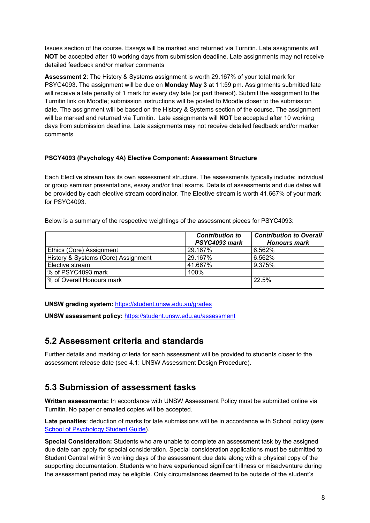Issues section of the course. Essays will be marked and returned via Turnitin. Late assignments will **NOT** be accepted after 10 working days from submission deadline. Late assignments may not receive detailed feedback and/or marker comments

**Assessment 2**: The History & Systems assignment is worth 29.167% of your total mark for PSYC4093. The assignment will be due on **Monday May 3** at 11:59 pm. Assignments submitted late will receive a late penalty of 1 mark for every day late (or part thereof). Submit the assignment to the Turnitin link on Moodle; submission instructions will be posted to Moodle closer to the submission date. The assignment will be based on the History & Systems section of the course. The assignment will be marked and returned via Turnitin. Late assignments will **NOT** be accepted after 10 working days from submission deadline. Late assignments may not receive detailed feedback and/or marker comments

#### **PSCY4093 (Psychology 4A) Elective Component: Assessment Structure**

Each Elective stream has its own assessment structure. The assessments typically include: individual or group seminar presentations, essay and/or final exams. Details of assessments and due dates will be provided by each elective stream coordinator. The Elective stream is worth 41.667% of your mark for PSYC4093.

Below is a summary of the respective weightings of the assessment pieces for PSYC4093:

|                                     | <b>Contribution to</b><br>PSYC4093 mark | <b>Contribution to Overall</b><br><b>Honours mark</b> |
|-------------------------------------|-----------------------------------------|-------------------------------------------------------|
| Ethics (Core) Assignment            | 29.167%                                 | 6.562%                                                |
| History & Systems (Core) Assignment | 29.167%                                 | 6.562%                                                |
| Elective stream                     | 41.667%                                 | 9.375%                                                |
| % of PSYC4093 mark                  | 100%                                    |                                                       |
| % of Overall Honours mark           |                                         | 22.5%                                                 |

**UNSW grading system:** <https://student.unsw.edu.au/grades>

**UNSW assessment policy:** <https://student.unsw.edu.au/assessment>

#### **5.2 Assessment criteria and standards**

Further details and marking criteria for each assessment will be provided to students closer to the assessment release date (see 4.1: UNSW Assessment Design Procedure).

#### **5.3 Submission of assessment tasks**

**Written assessments:** In accordance with UNSW Assessment Policy must be submitted online via Turnitin. No paper or emailed copies will be accepted.

**Late penalties**: deduction of marks for late submissions will be in accordance with School policy (see: [School of Psychology Student Guide\)](http://www.psy.unsw.edu.au/current-students/student-guide).

**Special Consideration:** Students who are unable to complete an assessment task by the assigned due date can apply for special consideration. Special consideration applications must be submitted to Student Central within 3 working days of the assessment due date along with a physical copy of the supporting documentation. Students who have experienced significant illness or misadventure during the assessment period may be eligible. Only circumstances deemed to be outside of the student's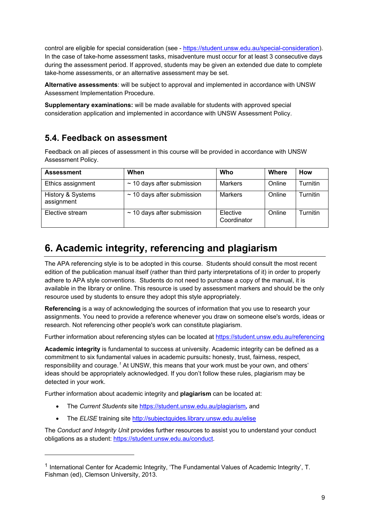control are eligible for special consideration (see - [https://student.unsw.edu.au/special-consideration\)](https://student.unsw.edu.au/special-consideration). In the case of take-home assessment tasks, misadventure must occur for at least 3 consecutive days during the assessment period. If approved, students may be given an extended due date to complete take-home assessments, or an alternative assessment may be set.

**Alternative assessments**: will be subject to approval and implemented in accordance with UNSW Assessment Implementation Procedure.

**Supplementary examinations:** will be made available for students with approved special consideration application and implemented in accordance with UNSW Assessment Policy.

#### **5.4. Feedback on assessment**

Feedback on all pieces of assessment in this course will be provided in accordance with UNSW Assessment Policy.

| <b>Assessment</b>               | When                            | Who                     | Where  | How           |
|---------------------------------|---------------------------------|-------------------------|--------|---------------|
| Ethics assignment               | $\sim$ 10 days after submission | Markers                 | Online | Turnitin      |
| History & Systems<br>assignment | $\sim$ 10 days after submission | Markers                 | Online | ا Turnitin    |
| Elective stream                 | $\sim$ 10 days after submission | Elective<br>Coordinator | Online | .<br>Turnitin |

## **6. Academic integrity, referencing and plagiarism**

The APA referencing style is to be adopted in this course. Students should consult the most recent edition of the publication manual itself (rather than third party interpretations of it) in order to properly adhere to APA style conventions. Students do not need to purchase a copy of the manual, it is available in the library or online. This resource is used by assessment markers and should be the only resource used by students to ensure they adopt this style appropriately.

**Referencing** is a way of acknowledging the sources of information that you use to research your assignments. You need to provide a reference whenever you draw on someone else's words, ideas or research. Not referencing other people's work can constitute plagiarism.

Further information about referencing styles can be located at <https://student.unsw.edu.au/referencing>

**Academic integrity** is fundamental to success at university. Academic integrity can be defined as a commitment to six fundamental values in academic pursuits**:** honesty, trust, fairness, respect, responsibility and courage.*[1](#page-8-0)* At UNSW, this means that your work must be your own, and others' ideas should be appropriately acknowledged. If you don't follow these rules, plagiarism may be detected in your work.

Further information about academic integrity and **plagiarism** can be located at:

- The *Current Students* site <https://student.unsw.edu.au/plagiarism>*,* and
- The *ELISE* training site <http://subjectguides.library.unsw.edu.au/elise>

-

The *Conduct and Integrity Unit* provides further resources to assist you to understand your conduct obligations as a student: [https://student.unsw.edu.au/conduct.](https://student.unsw.edu.au/conduct)

<span id="page-8-0"></span><sup>1</sup> International Center for Academic Integrity, 'The Fundamental Values of Academic Integrity', T. Fishman (ed), Clemson University, 2013.